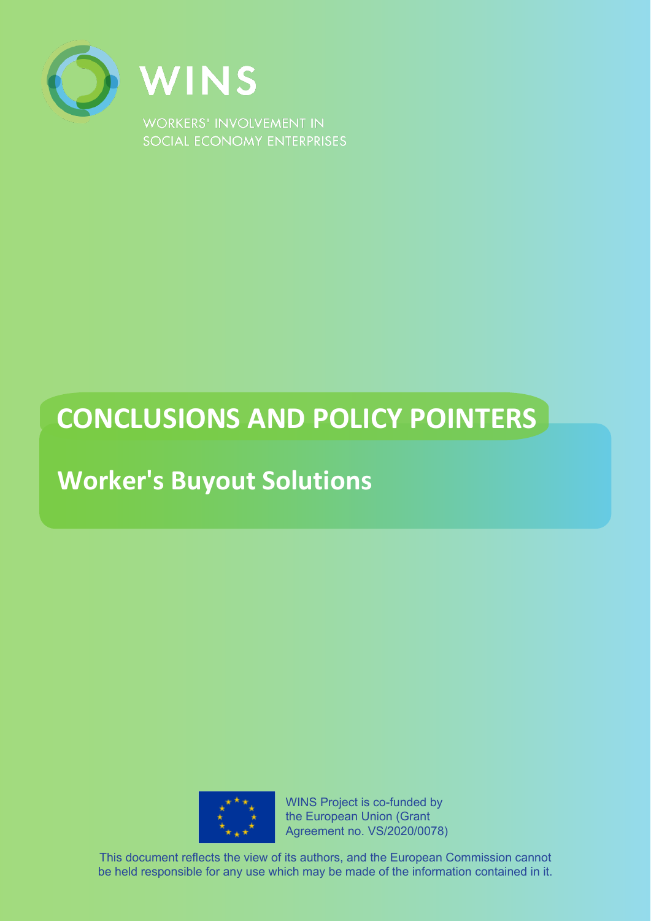

# **CONCLUSIONS AND POLICY POINTERS**

## **Worker's Buyout Solutions**



WINS Project is co-funded by the European Union (Grant Agreement no. VS/2020/0078)

This document reflects the view of its authors, and the European Commission cannot be held responsible for any use which may be made of the information contained in it.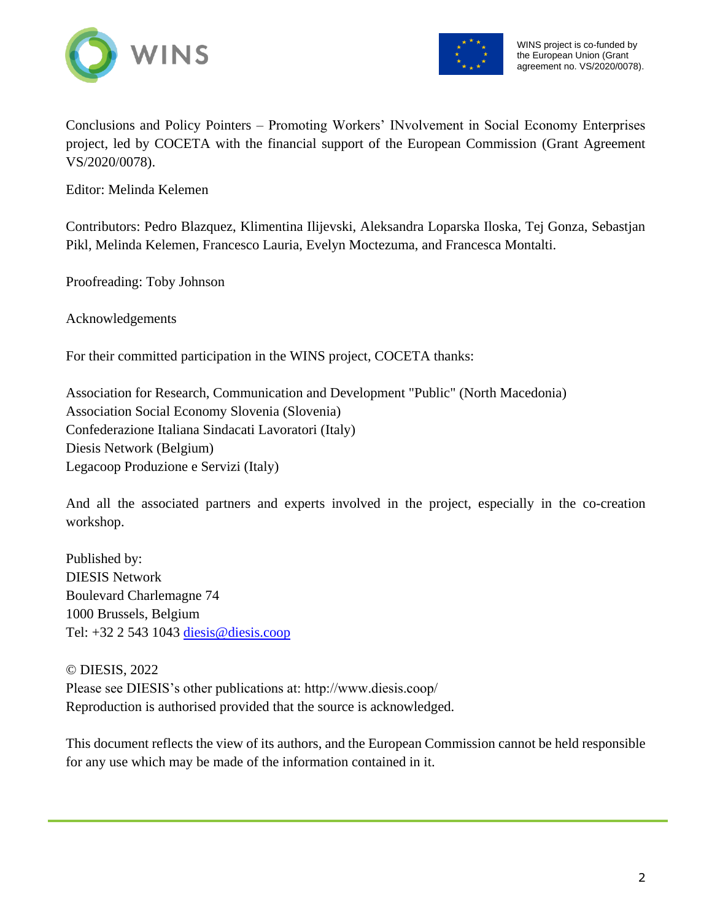



Conclusions and Policy Pointers – Promoting Workers' INvolvement in Social Economy Enterprises project, led by COCETA with the financial support of the European Commission (Grant Agreement VS/2020/0078).

Editor: Melinda Kelemen

Contributors: Pedro Blazquez, Klimentina Ilijevski, Aleksandra Loparska Iloska, Tej Gonza, Sebastjan Pikl, Melinda Kelemen, Francesco Lauria, Evelyn Moctezuma, and Francesca Montalti.

Proofreading: Toby Johnson

Acknowledgements

For their committed participation in the WINS project, COCETA thanks:

Association for Research, Communication and Development "Public" (North Macedonia) Association Social Economy Slovenia (Slovenia) Confederazione Italiana Sindacati Lavoratori (Italy) Diesis Network (Belgium) Legacoop Produzione e Servizi (Italy)

And all the associated partners and experts involved in the project, especially in the co-creation workshop.

Published by: DIESIS Network Boulevard Charlemagne 74 1000 Brussels, Belgium Tel: +32 2 543 1043 [diesis@diesis.coop](mailto:diesis@diesis.coop)

© DIESIS, 2022 Please see DIESIS's other publications at: http://www.diesis.coop/ Reproduction is authorised provided that the source is acknowledged.

This document reflects the view of its authors, and the European Commission cannot be held responsible for any use which may be made of the information contained in it.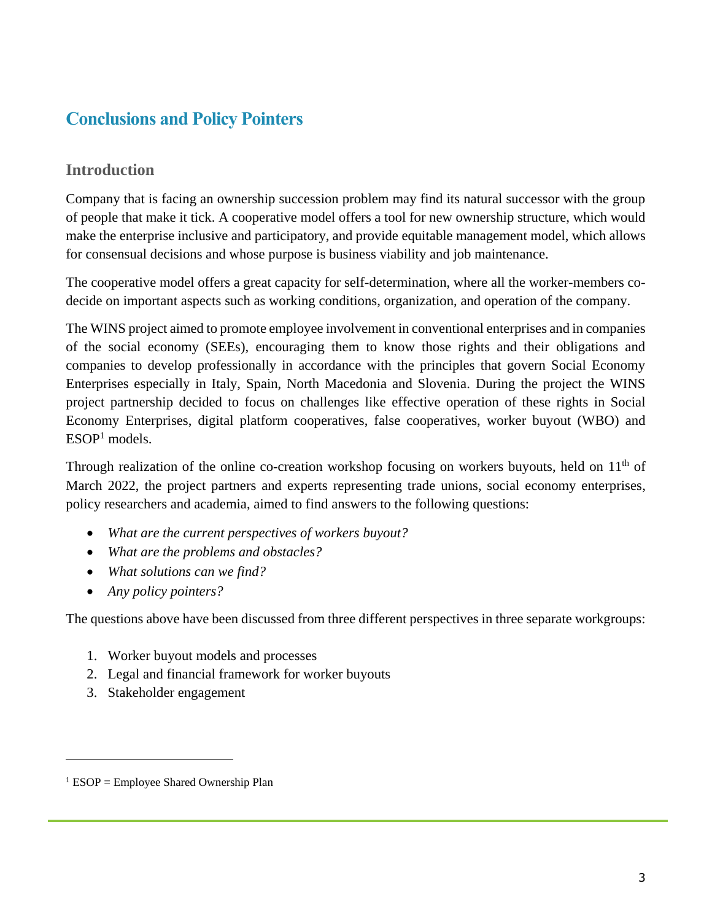## **Conclusions and Policy Pointers**

## **Introduction**

Company that is facing an ownership succession problem may find its natural successor with the group of people that make it tick. A cooperative model offers a tool for new ownership structure, which would make the enterprise inclusive and participatory, and provide equitable management model, which allows for consensual decisions and whose purpose is business viability and job maintenance.

The cooperative model offers a great capacity for self-determination, where all the worker-members codecide on important aspects such as working conditions, organization, and operation of the company.

The WINS project aimed to promote employee involvement in conventional enterprises and in companies of the social economy (SEEs), encouraging them to know those rights and their obligations and companies to develop professionally in accordance with the principles that govern Social Economy Enterprises especially in Italy, Spain, North Macedonia and Slovenia. During the project the WINS project partnership decided to focus on challenges like effective operation of these rights in Social Economy Enterprises, digital platform cooperatives, false cooperatives, worker buyout (WBO) and ESOP<sup>1</sup> models.

Through realization of the online co-creation workshop focusing on workers buyouts, held on  $11<sup>th</sup>$  of March 2022, the project partners and experts representing trade unions, social economy enterprises, policy researchers and academia, aimed to find answers to the following questions:

- *What are the current perspectives of workers buyout?*
- *What are the problems and obstacles?*
- *What solutions can we find?*
- *Any policy pointers?*

The questions above have been discussed from three different perspectives in three separate workgroups:

- 1. Worker buyout models and processes
- 2. Legal and financial framework for worker buyouts
- 3. Stakeholder engagement

 $<sup>1</sup> ESOP = Employee Shared Ownership Plan$ </sup>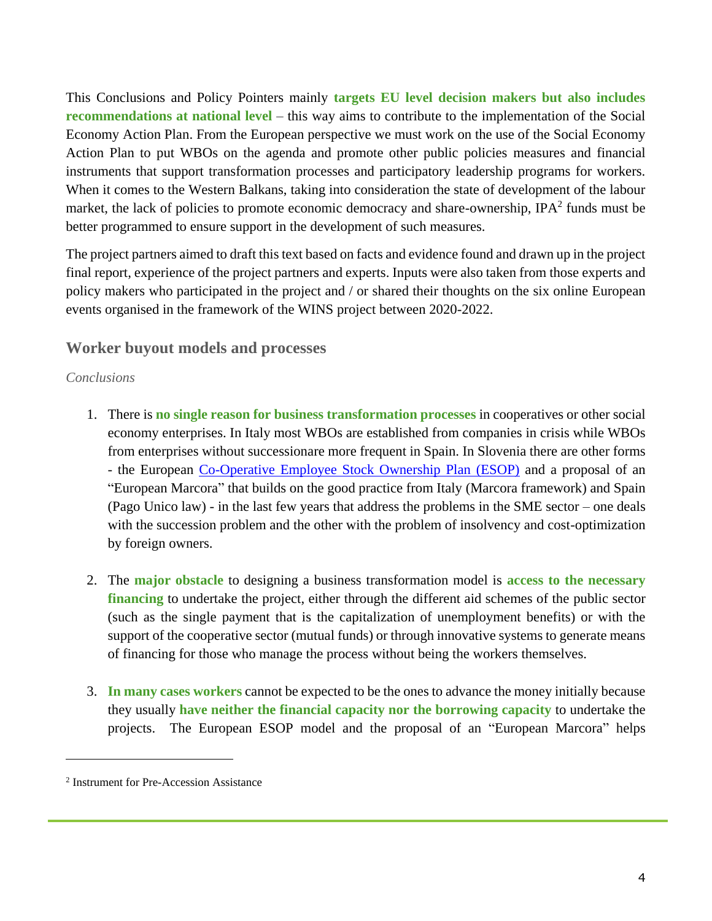This Conclusions and Policy Pointers mainly **targets EU level decision makers but also includes recommendations at national level** – this way aims to contribute to the implementation of the Social Economy Action Plan. From the European perspective we must work on the use of the Social Economy Action Plan to put WBOs on the agenda and promote other public policies measures and financial instruments that support transformation processes and participatory leadership programs for workers. When it comes to the Western Balkans, taking into consideration the state of development of the labour market, the lack of policies to promote economic democracy and share-ownership, IPA $2$  funds must be better programmed to ensure support in the development of such measures.

The project partners aimed to draft this text based on facts and evidence found and drawn up in the project final report, experience of the project partners and experts. Inputs were also taken from those experts and policy makers who participated in the project and / or shared their thoughts on the six online European events organised in the framework of the WINS project between 2020-2022.

### **Worker buyout models and processes**

#### *Conclusions*

- 1. There is **no single reason for business transformation processes** in cooperatives or other social economy enterprises. In Italy most WBOs are established from companies in crisis while WBOs from enterprises without successionare more frequent in Spain. In Slovenia there are other forms - the European [Co-Operative Employee Stock Ownership Plan \(ESOP\)](https://ekonomska-demokracija.si/wp-content/uploads/2020/05/A-Generic-ESOP-Employee-Share-Plan-for-Europe_final.pdf) and a proposal of an "European Marcora" that builds on the good practice from Italy (Marcora framework) and Spain (Pago Unico law) - in the last few years that address the problems in the SME sector – one deals with the succession problem and the other with the problem of insolvency and cost-optimization by foreign owners.
- 2. The **major obstacle** to designing a business transformation model is **access to the necessary financing** to undertake the project, either through the different aid schemes of the public sector (such as the single payment that is the capitalization of unemployment benefits) or with the support of the cooperative sector (mutual funds) or through innovative systems to generate means of financing for those who manage the process without being the workers themselves.
- 3. **In many cases workers** cannot be expected to be the ones to advance the money initially because they usually **have neither the financial capacity nor the borrowing capacity** to undertake the projects. The European ESOP model and the proposal of an "European Marcora" helps

<sup>2</sup> Instrument for Pre-Accession Assistance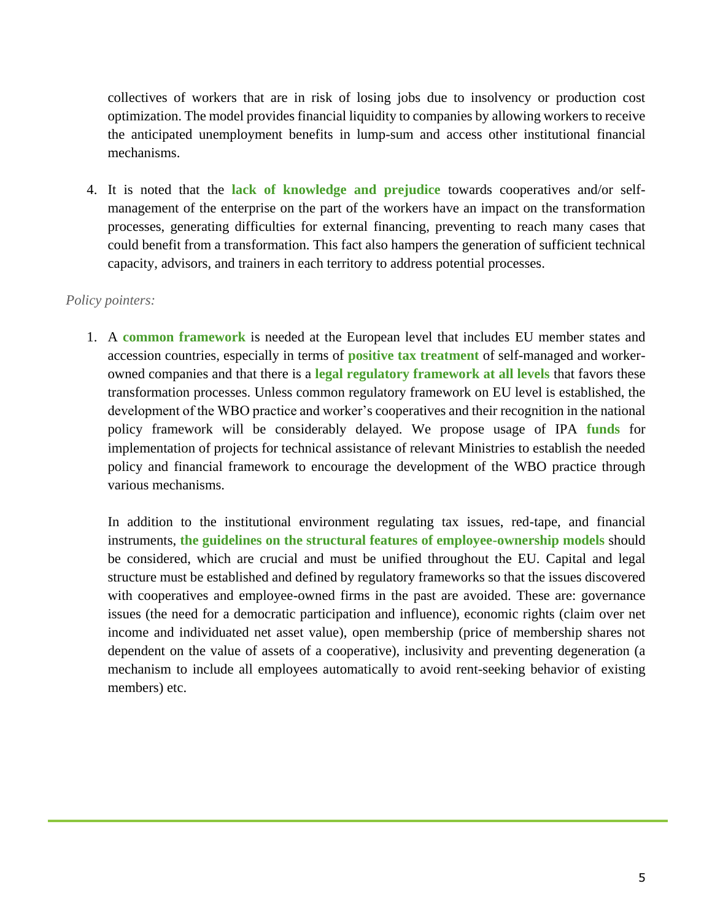collectives of workers that are in risk of losing jobs due to insolvency or production cost optimization. The model provides financial liquidity to companies by allowing workers to receive the anticipated unemployment benefits in lump-sum and access other institutional financial mechanisms.

4. It is noted that the **lack of knowledge and prejudice** towards cooperatives and/or selfmanagement of the enterprise on the part of the workers have an impact on the transformation processes, generating difficulties for external financing, preventing to reach many cases that could benefit from a transformation. This fact also hampers the generation of sufficient technical capacity, advisors, and trainers in each territory to address potential processes.

#### *Policy pointers:*

1. A **common framework** is needed at the European level that includes EU member states and accession countries, especially in terms of **positive tax treatment** of self-managed and workerowned companies and that there is a **legal regulatory framework at all levels** that favors these transformation processes. Unless common regulatory framework on EU level is established, the development of the WBO practice and worker's cooperatives and their recognition in the national policy framework will be considerably delayed. We propose usage of IPA **funds** for implementation of projects for technical assistance of relevant Ministries to establish the needed policy and financial framework to encourage the development of the WBO practice through various mechanisms.

In addition to the institutional environment regulating tax issues, red-tape, and financial instruments, **the guidelines on the structural features of employee-ownership models** should be considered, which are crucial and must be unified throughout the EU. Capital and legal structure must be established and defined by regulatory frameworks so that the issues discovered with cooperatives and employee-owned firms in the past are avoided. These are: governance issues (the need for a democratic participation and influence), economic rights (claim over net income and individuated net asset value), open membership (price of membership shares not dependent on the value of assets of a cooperative), inclusivity and preventing degeneration (a mechanism to include all employees automatically to avoid rent-seeking behavior of existing members) etc.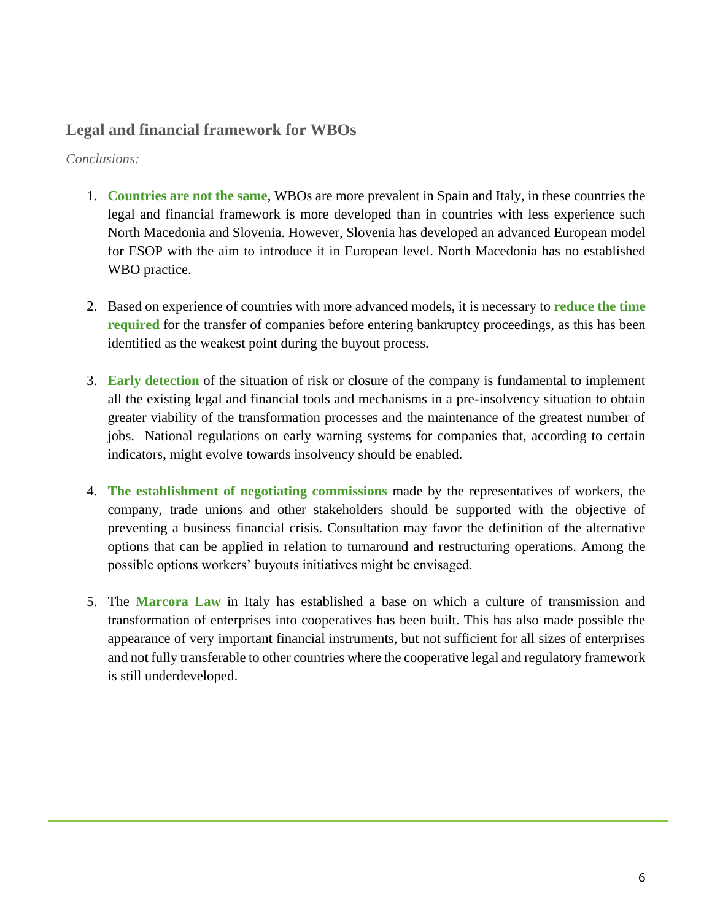## **Legal and financial framework for WBOs**

*Conclusions:* 

- 1. **Countries are not the same**, WBOs are more prevalent in Spain and Italy, in these countries the legal and financial framework is more developed than in countries with less experience such North Macedonia and Slovenia. However, Slovenia has developed an advanced European model for ESOP with the aim to introduce it in European level. North Macedonia has no established WBO practice.
- 2. Based on experience of countries with more advanced models, it is necessary to **reduce the time required** for the transfer of companies before entering bankruptcy proceedings, as this has been identified as the weakest point during the buyout process.
- 3. **Early detection** of the situation of risk or closure of the company is fundamental to implement all the existing legal and financial tools and mechanisms in a pre-insolvency situation to obtain greater viability of the transformation processes and the maintenance of the greatest number of jobs. National regulations on early warning systems for companies that, according to certain indicators, might evolve towards insolvency should be enabled.
- 4. **The establishment of negotiating commissions** made by the representatives of workers, the company, trade unions and other stakeholders should be supported with the objective of preventing a business financial crisis. Consultation may favor the definition of the alternative options that can be applied in relation to turnaround and restructuring operations. Among the possible options workers' buyouts initiatives might be envisaged.
- 5. The **Marcora Law** in Italy has established a base on which a culture of transmission and transformation of enterprises into cooperatives has been built. This has also made possible the appearance of very important financial instruments, but not sufficient for all sizes of enterprises and not fully transferable to other countries where the cooperative legal and regulatory framework is still underdeveloped.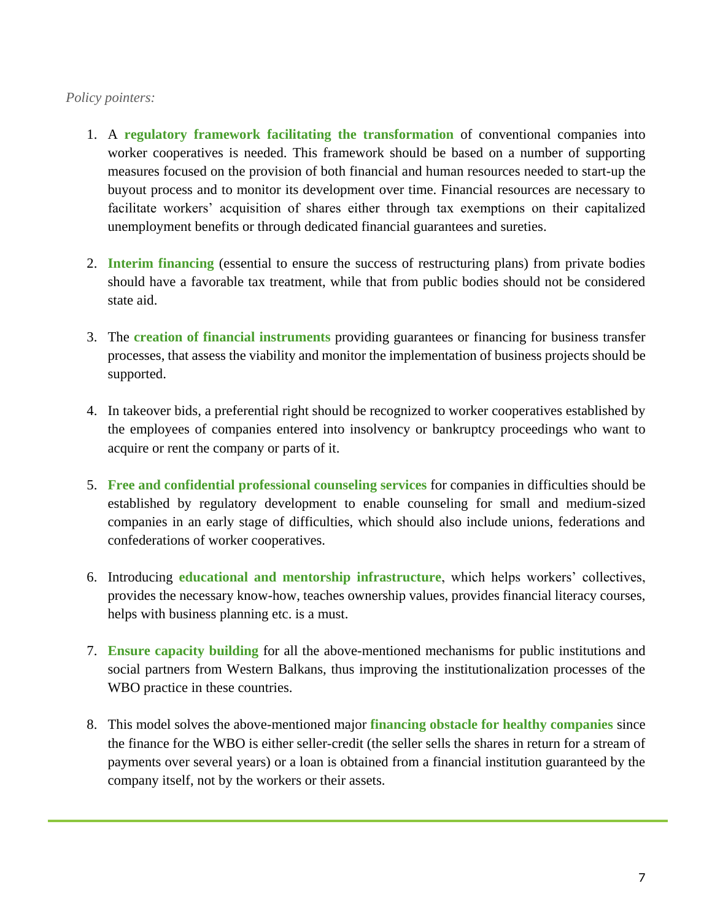#### *Policy pointers:*

- 1. A **regulatory framework facilitating the transformation** of conventional companies into worker cooperatives is needed. This framework should be based on a number of supporting measures focused on the provision of both financial and human resources needed to start-up the buyout process and to monitor its development over time. Financial resources are necessary to facilitate workers' acquisition of shares either through tax exemptions on their capitalized unemployment benefits or through dedicated financial guarantees and sureties.
- 2. **Interim financing** (essential to ensure the success of restructuring plans) from private bodies should have a favorable tax treatment, while that from public bodies should not be considered state aid.
- 3. The **creation of financial instruments** providing guarantees or financing for business transfer processes, that assess the viability and monitor the implementation of business projects should be supported.
- 4. In takeover bids, a preferential right should be recognized to worker cooperatives established by the employees of companies entered into insolvency or bankruptcy proceedings who want to acquire or rent the company or parts of it.
- 5. **Free and confidential professional counseling services** for companies in difficulties should be established by regulatory development to enable counseling for small and medium-sized companies in an early stage of difficulties, which should also include unions, federations and confederations of worker cooperatives.
- 6. Introducing **educational and mentorship infrastructure**, which helps workers' collectives, provides the necessary know-how, teaches ownership values, provides financial literacy courses, helps with business planning etc. is a must.
- 7. **Ensure capacity building** for all the above-mentioned mechanisms for public institutions and social partners from Western Balkans, thus improving the institutionalization processes of the WBO practice in these countries.
- 8. This model solves the above-mentioned major **financing obstacle for healthy companies** since the finance for the WBO is either seller-credit (the seller sells the shares in return for a stream of payments over several years) or a loan is obtained from a financial institution guaranteed by the company itself, not by the workers or their assets.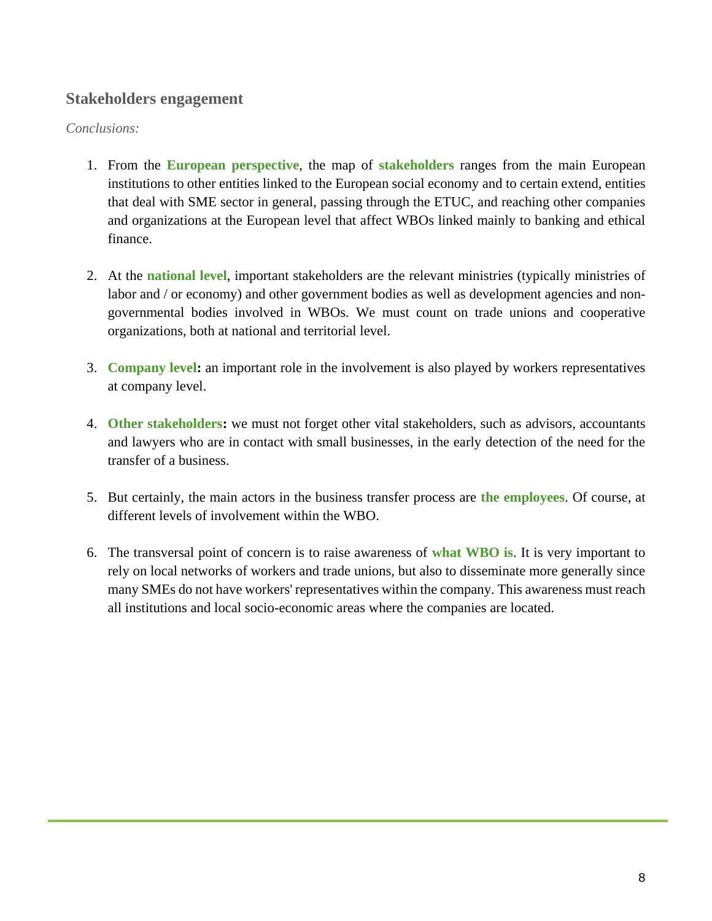## **Stakeholders engagement**

#### *Conclusions:*

- 1. From the **European perspective**, the map of **stakeholders** ranges from the main European institutions to other entities linked to the European social economy and to certain extend, entities that deal with SME sector in general, passing through the ETUC, and reaching other companies and organizations at the European level that affect WBOs linked mainly to banking and ethical finance.
- 2. At the **national level**, important stakeholders are the relevant ministries (typically ministries of labor and / or economy) and other government bodies as well as development agencies and nongovernmental bodies involved in WBOs. We must count on trade unions and cooperative organizations, both at national and territorial level.
- 3. **Company level:** an important role in the involvement is also played by workers representatives at company level.
- 4. **Other stakeholders:** we must not forget other vital stakeholders, such as advisors, accountants and lawyers who are in contact with small businesses, in the early detection of the need for the transfer of a business.
- 5. But certainly, the main actors in the business transfer process are **the employees**. Of course, at different levels of involvement within the WBO.
- 6. The transversal point of concern is to raise awareness of **what WBO is**. It is very important to rely on local networks of workers and trade unions, but also to disseminate more generally since many SMEs do not have workers' representatives within the company. This awareness must reach all institutions and local socio-economic areas where the companies are located.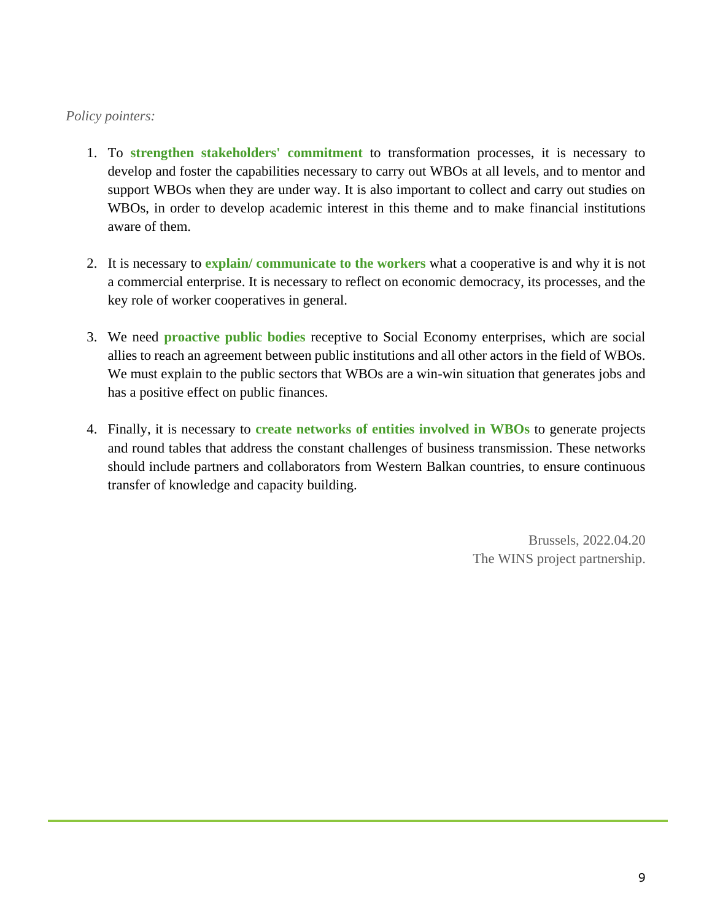### *Policy pointers:*

- 1. To **strengthen stakeholders' commitment** to transformation processes, it is necessary to develop and foster the capabilities necessary to carry out WBOs at all levels, and to mentor and support WBOs when they are under way. It is also important to collect and carry out studies on WBOs, in order to develop academic interest in this theme and to make financial institutions aware of them.
- 2. It is necessary to **explain/ communicate to the workers** what a cooperative is and why it is not a commercial enterprise. It is necessary to reflect on economic democracy, its processes, and the key role of worker cooperatives in general.
- 3. We need **proactive public bodies** receptive to Social Economy enterprises, which are social allies to reach an agreement between public institutions and all other actors in the field of WBOs. We must explain to the public sectors that WBOs are a win-win situation that generates jobs and has a positive effect on public finances.
- 4. Finally, it is necessary to **create networks of entities involved in WBOs** to generate projects and round tables that address the constant challenges of business transmission. These networks should include partners and collaborators from Western Balkan countries, to ensure continuous transfer of knowledge and capacity building.

Brussels, 2022.04.20 The WINS project partnership.